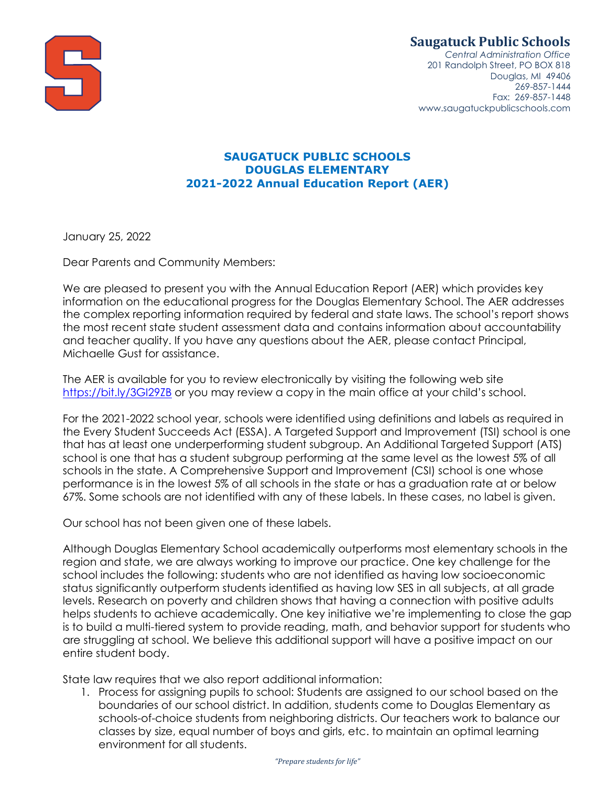

# **Saugatuck Public Schools**

*Central Administration Office* 201 Randolph Street, PO BOX 818 Douglas, MI 49406 269-857-1444 Fax: 269-857-1448 www.saugatuckpublicschools.com

## **SAUGATUCK PUBLIC SCHOOLS DOUGLAS ELEMENTARY 2021-2022 Annual Education Report (AER)**

January 25, 2022

Dear Parents and Community Members:

We are pleased to present you with the Annual Education Report (AER) which provides key information on the educational progress for the Douglas Elementary School. The AER addresses the complex reporting information required by federal and state laws. The school's report shows the most recent state student assessment data and contains information about accountability and teacher quality. If you have any questions about the AER, please contact Principal, Michaelle Gust for assistance.

The AER is available for you to review electronically by visiting the following web site <https://bit.ly/3GI29ZB> or you may review a copy in the main office at your child's school.

For the 2021-2022 school year, schools were identified using definitions and labels as required in the Every Student Succeeds Act (ESSA). A Targeted Support and Improvement (TSI) school is one that has at least one underperforming student subgroup. An Additional Targeted Support (ATS) school is one that has a student subgroup performing at the same level as the lowest 5% of all schools in the state. A Comprehensive Support and Improvement (CSI) school is one whose performance is in the lowest 5% of all schools in the state or has a graduation rate at or below 67%. Some schools are not identified with any of these labels. In these cases, no label is given.

Our school has not been given one of these labels.

Although Douglas Elementary School academically outperforms most elementary schools in the region and state, we are always working to improve our practice. One key challenge for the school includes the following: students who are not identified as having low socioeconomic status significantly outperform students identified as having low SES in all subjects, at all grade levels. Research on poverty and children shows that having a connection with positive adults helps students to achieve academically. One key initiative we're implementing to close the gap is to build a multi-tiered system to provide reading, math, and behavior support for students who are struggling at school. We believe this additional support will have a positive impact on our entire student body.

State law requires that we also report additional information:

1. Process for assigning pupils to school: Students are assigned to our school based on the boundaries of our school district. In addition, students come to Douglas Elementary as schools-of-choice students from neighboring districts. Our teachers work to balance our classes by size, equal number of boys and girls, etc. to maintain an optimal learning environment for all students.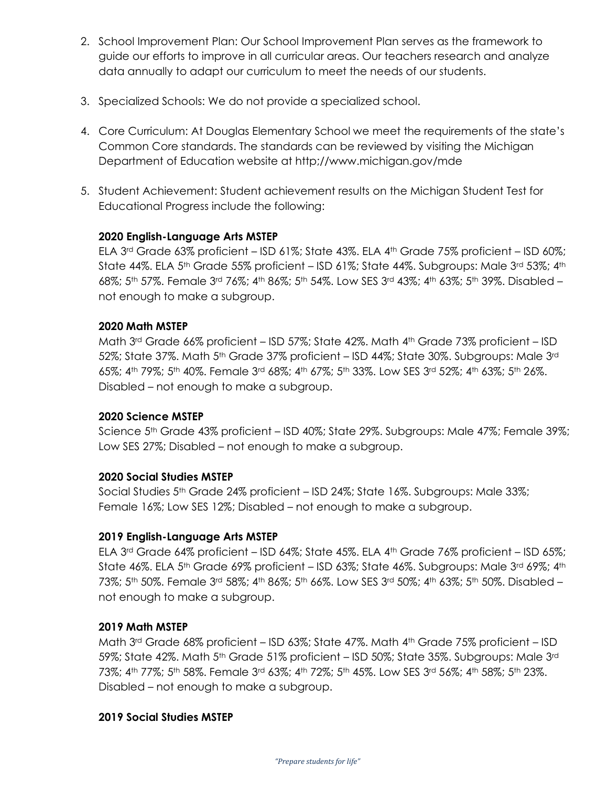- 2. School Improvement Plan: Our School Improvement Plan serves as the framework to guide our efforts to improve in all curricular areas. Our teachers research and analyze data annually to adapt our curriculum to meet the needs of our students.
- 3. Specialized Schools: We do not provide a specialized school.
- 4. Core Curriculum: At Douglas Elementary School we meet the requirements of the state's Common Core standards. The standards can be reviewed by visiting the Michigan Department of Education website at http;//www.michigan.gov/mde
- 5. Student Achievement: Student achievement results on the Michigan Student Test for Educational Progress include the following:

## **2020 English-Language Arts MSTEP**

ELA 3rd Grade 63% proficient – ISD 61%; State 43%. ELA 4th Grade 75% proficient – ISD 60%; State 44%. ELA 5<sup>th</sup> Grade 55% proficient – ISD 61%; State 44%. Subgroups: Male 3<sup>rd</sup> 53%; 4<sup>th</sup> 68%; 5th 57%. Female 3rd 76%; 4th 86%; 5th 54%. Low SES 3rd 43%; 4th 63%; 5th 39%. Disabled – not enough to make a subgroup.

#### **2020 Math MSTEP**

Math 3rd Grade 66% proficient – ISD 57%; State 42%. Math 4th Grade 73% proficient – ISD 52%; State 37%. Math 5<sup>th</sup> Grade 37% proficient – ISD 44%; State 30%. Subgroups: Male 3<sup>rd</sup> 65%; 4th 79%; 5th 40%. Female 3rd 68%; 4th 67%; 5th 33%. Low SES 3rd 52%; 4th 63%; 5th 26%. Disabled – not enough to make a subgroup.

#### **2020 Science MSTEP**

Science 5<sup>th</sup> Grade 43% proficient – ISD 40%; State 29%. Subgroups: Male 47%; Female 39%; Low SES 27%; Disabled – not enough to make a subgroup.

#### **2020 Social Studies MSTEP**

Social Studies 5th Grade 24% proficient – ISD 24%; State 16%. Subgroups: Male 33%; Female 16%; Low SES 12%; Disabled – not enough to make a subgroup.

#### **2019 English-Language Arts MSTEP**

ELA 3rd Grade 64% proficient – ISD 64%; State 45%. ELA 4th Grade 76% proficient – ISD 65%; State 46%. ELA 5<sup>th</sup> Grade 69% proficient – ISD 63%; State 46%. Subgroups: Male 3<sup>rd</sup> 69%; 4<sup>th</sup> 73%; 5th 50%. Female 3rd 58%; 4th 86%; 5th 66%. Low SES 3rd 50%; 4th 63%; 5th 50%. Disabled – not enough to make a subgroup.

#### **2019 Math MSTEP**

Math 3rd Grade 68% proficient – ISD 63%; State 47%. Math 4th Grade 75% proficient – ISD 59%; State 42%. Math 5th Grade 51% proficient – ISD 50%; State 35%. Subgroups: Male 3rd 73%; 4th 77%; 5th 58%. Female 3rd 63%; 4th 72%; 5th 45%. Low SES 3rd 56%; 4th 58%; 5th 23%. Disabled – not enough to make a subgroup.

#### **2019 Social Studies MSTEP**